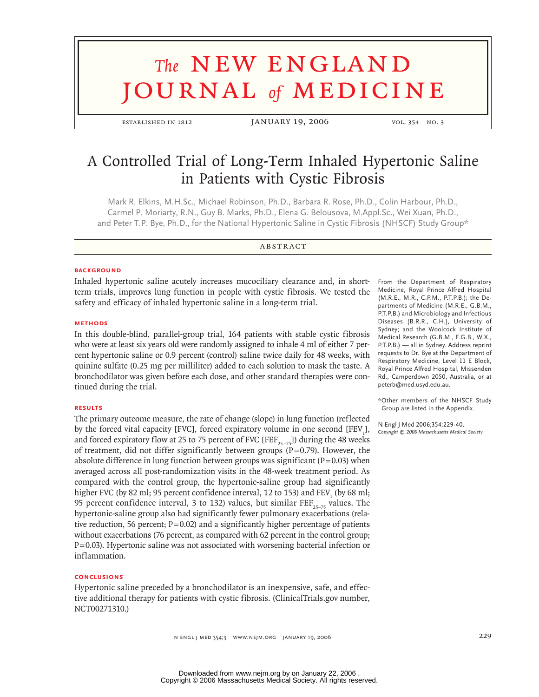# **The NEW ENGLAND** URNAL of **MEDICINE**

ESTABLISHED IN 1812 JANUARY 19, 2006 vol. 354 no. 3

# A Controlled Trial of Long-Term Inhaled Hypertonic Saline in Patients with Cystic Fibrosis

Mark R. Elkins, M.H.Sc., Michael Robinson, Ph.D., Barbara R. Rose, Ph.D., Colin Harbour, Ph.D., Carmel P. Moriarty, R.N., Guy B. Marks, Ph.D., Elena G. Belousova, M.Appl.Sc., Wei Xuan, Ph.D., and Peter T.P. Bye, Ph.D., for the National Hypertonic Saline in Cystic Fibrosis (NHSCF) Study Group\*

# **ABSTRACT**

# **BACKGROUND**

Inhaled hypertonic saline acutely increases mucociliary clearance and, in shortterm trials, improves lung function in people with cystic fibrosis. We tested the safety and efficacy of inhaled hypertonic saline in a long-term trial.

# **methods**

In this double-blind, parallel-group trial, 164 patients with stable cystic fibrosis who were at least six years old were randomly assigned to inhale 4 ml of either 7 percent hypertonic saline or 0.9 percent (control) saline twice daily for 48 weeks, with quinine sulfate (0.25 mg per milliliter) added to each solution to mask the taste. A bronchodilator was given before each dose, and other standard therapies were continued during the trial.

#### **results**

The primary outcome measure, the rate of change (slope) in lung function (reflected by the forced vital capacity [FVC], forced expiratory volume in one second [FEV<sub>1</sub>], and forced expiratory flow at 25 to 75 percent of FVC [FEF<sub>25-75</sub>]) during the 48 weeks of treatment, did not differ significantly between groups ( $P=0.79$ ). However, the absolute difference in lung function between groups was significant ( $P = 0.03$ ) when averaged across all post-randomization visits in the 48-week treatment period. As compared with the control group, the hypertonic-saline group had significantly higher FVC (by 82 ml; 95 percent confidence interval, 12 to 153) and  $\text{FEV}_1$  (by 68 ml; 95 percent confidence interval, 3 to 132) values, but similar FEF $_{25-75}$  values. The hypertonic-saline group also had significantly fewer pulmonary exacerbations (relative reduction, 56 percent;  $P=0.02$ ) and a significantly higher percentage of patients without exacerbations (76 percent, as compared with 62 percent in the control group;  $P = 0.03$ ). Hypertonic saline was not associated with worsening bacterial infection or inflammation.

# **conclusions**

Hypertonic saline preceded by a bronchodilator is an inexpensive, safe, and effective additional therapy for patients with cystic fibrosis. (ClinicalTrials.gov number, NCT00271310.)

From the Department of Respiratory Medicine, Royal Prince Alfred Hospital (M.R.E., M.R., C.P.M., P.T.P.B.); the Departments of Medicine (M.R.E., G.B.M., P.T.P.B.) and Microbiology and Infectious Diseases (B.R.R., C.H.), University of Sydney; and the Woolcock Institute of Medical Research (G.B.M., E.G.B., W.X., P.T.P.B.) — all in Sydney. Address reprint requests to Dr. Bye at the Department of Respiratory Medicine, Level 11 E Block, Royal Prince Alfred Hospital, Missenden Rd., Camperdown 2050, Australia, or at peterb@med.usyd.edu.au.

\*Other members of the NHSCF Study Group are listed in the Appendix.

N Engl J Med 2006;354:229-40. *Copyright © 2006 Massachusetts Medical Society.*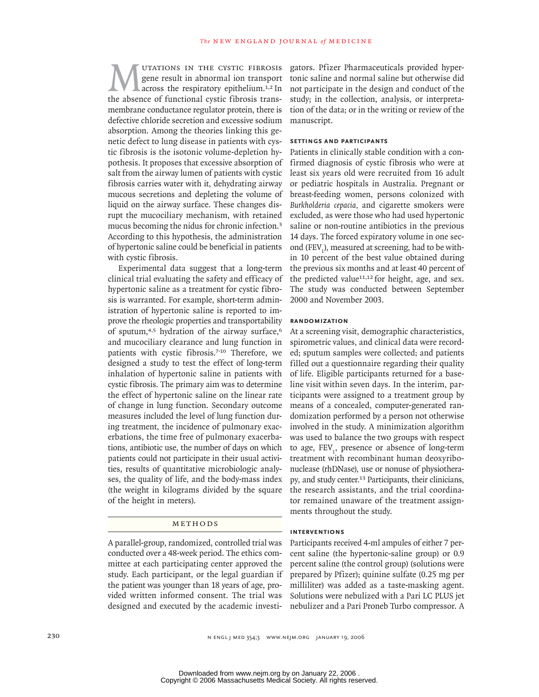UTATIONS IN THE CYSTIC FIBROSIS gene result in abnormal ion transport across the respiratory epithelium.1,2 In the absence of functional cystic fibrosis transmembrane conductance regulator protein, there is defective chloride secretion and excessive sodium absorption. Among the theories linking this genetic defect to lung disease in patients with cystic fibrosis is the isotonic volume-depletion hypothesis. It proposes that excessive absorption of salt from the airway lumen of patients with cystic fibrosis carries water with it, dehydrating airway mucous secretions and depleting the volume of liquid on the airway surface. These changes disrupt the mucociliary mechanism, with retained mucus becoming the nidus for chronic infection.<sup>3</sup> According to this hypothesis, the administration of hypertonic saline could be beneficial in patients with cystic fibrosis.

Experimental data suggest that a long-term clinical trial evaluating the safety and efficacy of hypertonic saline as a treatment for cystic fibrosis is warranted. For example, short-term administration of hypertonic saline is reported to improve the rheologic properties and transportability of sputum, $4,5$  hydration of the airway surface, $6$ and mucociliary clearance and lung function in patients with cystic fibrosis.<sup>7-10</sup> Therefore, we designed a study to test the effect of long-term inhalation of hypertonic saline in patients with cystic fibrosis. The primary aim was to determine the effect of hypertonic saline on the linear rate of change in lung function. Secondary outcome measures included the level of lung function during treatment, the incidence of pulmonary exacerbations, the time free of pulmonary exacerbations, antibiotic use, the number of days on which patients could not participate in their usual activities, results of quantitative microbiologic analyses, the quality of life, and the body-mass index (the weight in kilograms divided by the square of the height in meters).

# METHODS

A parallel-group, randomized, controlled trial was conducted over a 48-week period. The ethics committee at each participating center approved the study. Each participant, or the legal guardian if the patient was younger than 18 years of age, provided written informed consent. The trial was designed and executed by the academic investigators. Pfizer Pharmaceuticals provided hypertonic saline and normal saline but otherwise did not participate in the design and conduct of the study; in the collection, analysis, or interpretation of the data; or in the writing or review of the manuscript.

## **settings and participants**

Patients in clinically stable condition with a confirmed diagnosis of cystic fibrosis who were at least six years old were recruited from 16 adult or pediatric hospitals in Australia. Pregnant or breast-feeding women, persons colonized with *Burkholderia cepacia,* and cigarette smokers were excluded, as were those who had used hypertonic saline or non-routine antibiotics in the previous 14 days. The forced expiratory volume in one second (FEV<sub>1</sub>), measured at screening, had to be within 10 percent of the best value obtained during the previous six months and at least 40 percent of the predicted value<sup>11,12</sup> for height, age, and sex. The study was conducted between September 2000 and November 2003.

#### **randomization**

At a screening visit, demographic characteristics, spirometric values, and clinical data were recorded; sputum samples were collected; and patients filled out a questionnaire regarding their quality of life. Eligible participants returned for a baseline visit within seven days. In the interim, participants were assigned to a treatment group by means of a concealed, computer-generated randomization performed by a person not otherwise involved in the study. A minimization algorithm was used to balance the two groups with respect to age, FEV<sub>1</sub>, presence or absence of long-term treatment with recombinant human deoxyribonuclease (rhDNase), use or nonuse of physiotherapy, and study center.<sup>13</sup> Participants, their clinicians, the research assistants, and the trial coordinator remained unaware of the treatment assignments throughout the study.

#### **interventions**

Participants received 4-ml ampules of either 7 percent saline (the hypertonic-saline group) or 0.9 percent saline (the control group) (solutions were prepared by Pfizer); quinine sulfate (0.25 mg per milliliter) was added as a taste-masking agent. Solutions were nebulized with a Pari LC PLUS jet nebulizer and a Pari Proneb Turbo compressor. A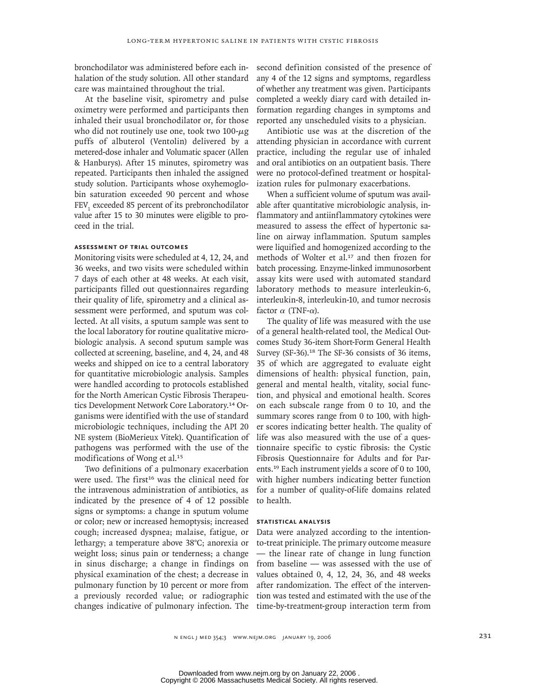bronchodilator was administered before each inhalation of the study solution. All other standard care was maintained throughout the trial.

At the baseline visit, spirometry and pulse oximetry were performed and participants then inhaled their usual bronchodilator or, for those who did not routinely use one, took two 100-μg puffs of albuterol (Ventolin) delivered by a metered-dose inhaler and Volumatic spacer (Allen & Hanburys). After 15 minutes, spirometry was repeated. Participants then inhaled the assigned study solution. Participants whose oxyhemoglobin saturation exceeded 90 percent and whose FEV<sub>1</sub> exceeded 85 percent of its prebronchodilator value after 15 to 30 minutes were eligible to proceed in the trial.

# **assessment of trial outcomes**

Monitoring visits were scheduled at 4, 12, 24, and 36 weeks, and two visits were scheduled within 7 days of each other at 48 weeks. At each visit, participants filled out questionnaires regarding their quality of life, spirometry and a clinical assessment were performed, and sputum was collected. At all visits, a sputum sample was sent to the local laboratory for routine qualitative microbiologic analysis. A second sputum sample was collected at screening, baseline, and 4, 24, and 48 weeks and shipped on ice to a central laboratory for quantitative microbiologic analysis. Samples were handled according to protocols established for the North American Cystic Fibrosis Therapeutics Development Network Core Laboratory.<sup>14</sup> Organisms were identified with the use of standard microbiologic techniques, including the API 20 NE system (BioMerieux Vitek). Quantification of pathogens was performed with the use of the modifications of Wong et al.<sup>15</sup>

Two definitions of a pulmonary exacerbation were used. The first<sup>16</sup> was the clinical need for the intravenous administration of antibiotics, as indicated by the presence of 4 of 12 possible signs or symptoms: a change in sputum volume or color; new or increased hemoptysis; increased cough; increased dyspnea; malaise, fatigue, or lethargy; a temperature above 38°C; anorexia or weight loss; sinus pain or tenderness; a change in sinus discharge; a change in findings on physical examination of the chest; a decrease in pulmonary function by 10 percent or more from a previously recorded value; or radiographic changes indicative of pulmonary infection. The time-by-treatment-group interaction term from

second definition consisted of the presence of any 4 of the 12 signs and symptoms, regardless of whether any treatment was given. Participants completed a weekly diary card with detailed information regarding changes in symptoms and reported any unscheduled visits to a physician.

Antibiotic use was at the discretion of the attending physician in accordance with current practice, including the regular use of inhaled and oral antibiotics on an outpatient basis. There were no protocol-defined treatment or hospitalization rules for pulmonary exacerbations.

When a sufficient volume of sputum was available after quantitative microbiologic analysis, inflammatory and antiinflammatory cytokines were measured to assess the effect of hypertonic saline on airway inflammation. Sputum samples were liquified and homogenized according to the methods of Wolter et al.<sup>17</sup> and then frozen for batch processing. Enzyme-linked immunosorbent assay kits were used with automated standard laboratory methods to measure interleukin-6, interleukin-8, interleukin-10, and tumor necrosis factor α (TNF-α).

The quality of life was measured with the use of a general health-related tool, the Medical Outcomes Study 36-item Short-Form General Health Survey (SF-36).<sup>18</sup> The SF-36 consists of 36 items, 35 of which are aggregated to evaluate eight dimensions of health: physical function, pain, general and mental health, vitality, social function, and physical and emotional health. Scores on each subscale range from 0 to 10, and the summary scores range from 0 to 100, with higher scores indicating better health. The quality of life was also measured with the use of a questionnaire specific to cystic fibrosis: the Cystic Fibrosis Questionnaire for Adults and for Parents.<sup>19</sup> Each instrument yields a score of 0 to 100, with higher numbers indicating better function for a number of quality-of-life domains related to health.

# **statistical analysis**

Data were analyzed according to the intentionto-treat priniciple. The primary outcome measure — the linear rate of change in lung function from baseline — was assessed with the use of values obtained 0, 4, 12, 24, 36, and 48 weeks after randomization. The effect of the intervention was tested and estimated with the use of the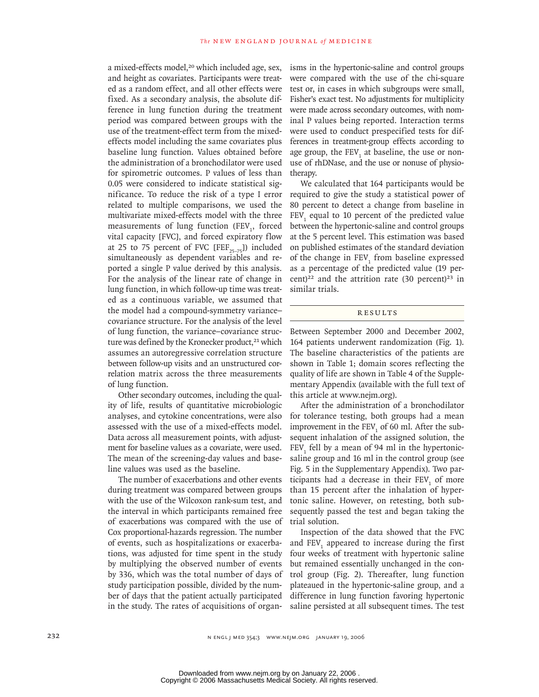a mixed-effects model,<sup>20</sup> which included age, sex, and height as covariates. Participants were treated as a random effect, and all other effects were fixed. As a secondary analysis, the absolute difference in lung function during the treatment period was compared between groups with the use of the treatment-effect term from the mixedeffects model including the same covariates plus baseline lung function. Values obtained before the administration of a bronchodilator were used for spirometric outcomes. P values of less than 0.05 were considered to indicate statistical significance. To reduce the risk of a type I error related to multiple comparisons, we used the multivariate mixed-effects model with the three measurements of lung function (FEV<sub>1</sub>, forced vital capacity [FVC], and forced expiratory flow at 25 to 75 percent of FVC [FEF<sub>75–75</sub>]) included simultaneously as dependent variables and reported a single P value derived by this analysis. For the analysis of the linear rate of change in lung function, in which follow-up time was treated as a continuous variable, we assumed that the model had a compound-symmetry variance– covariance structure. For the analysis of the level of lung function, the variance–covariance structure was defined by the Kronecker product,<sup>21</sup> which assumes an autoregressive correlation structure between follow-up visits and an unstructured correlation matrix across the three measurements of lung function.

Other secondary outcomes, including the quality of life, results of quantitative microbiologic analyses, and cytokine concentrations, were also assessed with the use of a mixed-effects model. Data across all measurement points, with adjustment for baseline values as a covariate, were used. The mean of the screening-day values and baseline values was used as the baseline.

The number of exacerbations and other events during treatment was compared between groups with the use of the Wilcoxon rank-sum test, and the interval in which participants remained free of exacerbations was compared with the use of Cox proportional-hazards regression. The number of events, such as hospitalizations or exacerbations, was adjusted for time spent in the study by multiplying the observed number of events by 336, which was the total number of days of study participation possible, divided by the number of days that the patient actually participated in the study. The rates of acquisitions of organisms in the hypertonic-saline and control groups were compared with the use of the chi-square test or, in cases in which subgroups were small, Fisher's exact test. No adjustments for multiplicity were made across secondary outcomes, with nominal P values being reported. Interaction terms were used to conduct prespecified tests for differences in treatment-group effects according to age group, the  $\text{FEV}_1$  at baseline, the use or nonuse of rhDNase, and the use or nonuse of physiotherapy.

We calculated that 164 participants would be required to give the study a statistical power of 80 percent to detect a change from baseline in  $FEV<sub>1</sub>$  equal to 10 percent of the predicted value between the hypertonic-saline and control groups at the 5 percent level. This estimation was based on published estimates of the standard deviation of the change in  $FEV_1$  from baseline expressed as a percentage of the predicted value (19 percent)<sup>22</sup> and the attrition rate  $(30 \text{ percent})^{23}$  in similar trials.

# **RESULTS**

Between September 2000 and December 2002, 164 patients underwent randomization (Fig. 1). The baseline characteristics of the patients are shown in Table 1; domain scores reflecting the quality of life are shown in Table 4 of the Supplementary Appendix (available with the full text of this article at www.nejm.org).

After the administration of a bronchodilator for tolerance testing, both groups had a mean improvement in the FEV<sub>1</sub> of 60 ml. After the subsequent inhalation of the assigned solution, the  $FEV<sub>1</sub>$  fell by a mean of 94 ml in the hypertonicsaline group and 16 ml in the control group (see Fig. 5 in the Supplementary Appendix). Two participants had a decrease in their  $FEV<sub>1</sub>$  of more than 15 percent after the inhalation of hypertonic saline. However, on retesting, both subsequently passed the test and began taking the trial solution.

Inspection of the data showed that the FVC and  $FEV<sub>1</sub>$  appeared to increase during the first four weeks of treatment with hypertonic saline but remained essentially unchanged in the control group (Fig. 2). Thereafter, lung function plateaued in the hypertonic-saline group, and a difference in lung function favoring hypertonic saline persisted at all subsequent times. The test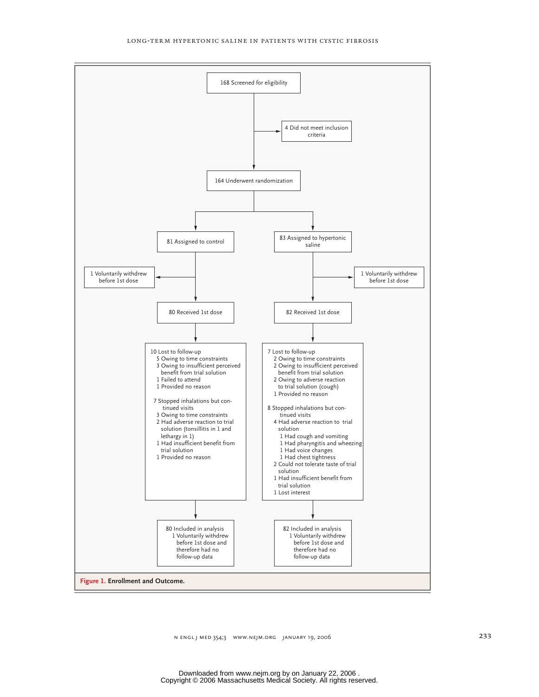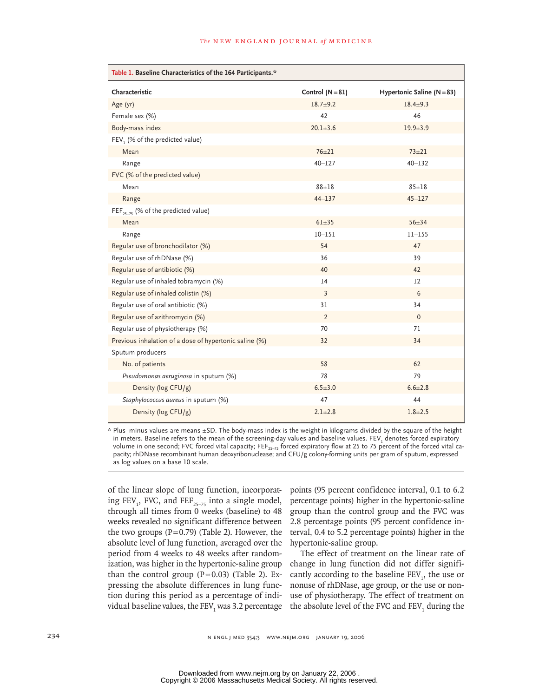| Table 1. Baseline Characteristics of the 164 Participants.* |                    |                                |
|-------------------------------------------------------------|--------------------|--------------------------------|
| Characteristic                                              | Control $(N = 81)$ | Hypertonic Saline ( $N = 83$ ) |
| Age (yr)                                                    | $18.7 + 9.2$       | $18.4 + 9.3$                   |
| Female sex (%)                                              | 42                 | 46                             |
| Body-mass index                                             | $20.1 + 3.6$       | $19.9 + 3.9$                   |
| FEV, (% of the predicted value)                             |                    |                                |
| Mean                                                        | $76 + 21$          | $73 + 21$                      |
| Range                                                       | $40 - 127$         | $40 - 132$                     |
| FVC (% of the predicted value)                              |                    |                                |
| Mean                                                        | $88 + 18$          | $85 + 18$                      |
| Range                                                       | $44 - 137$         | $45 - 127$                     |
| FEF <sub>25-75</sub> (% of the predicted value)             |                    |                                |
| Mean                                                        | $61 + 35$          | $56 + 34$                      |
| Range                                                       | $10 - 151$         | $11 - 155$                     |
| Regular use of bronchodilator (%)                           | 54                 | 47                             |
| Regular use of rhDNase (%)                                  | 36                 | 39                             |
| Regular use of antibiotic (%)                               | 40                 | 42                             |
| Regular use of inhaled tobramycin (%)                       | 14                 | $12 \overline{ }$              |
| Regular use of inhaled colistin (%)                         | 3                  | 6                              |
| Regular use of oral antibiotic (%)                          | 31                 | 34                             |
| Regular use of azithromycin (%)                             | 2                  | $\mathbf{0}$                   |
| Regular use of physiotherapy (%)                            | 70                 | 71                             |
| Previous inhalation of a dose of hypertonic saline (%)      | 32                 | 34                             |
| Sputum producers                                            |                    |                                |
| No. of patients                                             | 58                 | 62                             |
| Pseudomonas aeruginosa in sputum (%)                        | 78                 | 79                             |
| Density (log CFU/g)                                         | $6.5 \pm 3.0$      | $6.6 \pm 2.8$                  |
| Staphylococcus aureus in sputum (%)                         | 47                 | 44                             |
| Density (log CFU/g)                                         | $2.1 \pm 2.8$      | $1.8 + 2.5$                    |

\* Plus–minus values are means ±SD. The body-mass index is the weight in kilograms divided by the square of the height in meters. Baseline refers to the mean of the screening-day values and baseline values. FEV $_{\rm l}$  denotes forced expiratory volume in one second; FVC forced vital capacity; FEF<sub>25-75</sub> forced expiratory flow at 25 to 75 percent of the forced vital capacity; rhDNase recombinant human deoxyribonuclease; and CFU/g colony-forming units per gram of sputum, expressed as log values on a base 10 scale.

of the linear slope of lung function, incorporating  $FEV_1$ , FVC, and  $FEF_{25-75}$  into a single model, through all times from 0 weeks (baseline) to 48 weeks revealed no significant difference between the two groups  $(P=0.79)$  (Table 2). However, the absolute level of lung function, averaged over the period from 4 weeks to 48 weeks after randomization, was higher in the hypertonic-saline group than the control group  $(P=0.03)$  (Table 2). Expressing the absolute differences in lung function during this period as a percentage of individual baseline values, the FEV<sub>1</sub> was 3.2 percentage  $\;$  the absolute level of the FVC and FEV<sub>1</sub> during the

points (95 percent confidence interval, 0.1 to 6.2 percentage points) higher in the hypertonic-saline group than the control group and the FVC was 2.8 percentage points (95 percent confidence interval, 0.4 to 5.2 percentage points) higher in the hypertonic-saline group.

The effect of treatment on the linear rate of change in lung function did not differ significantly according to the baseline  $FEV_1$ , the use or nonuse of rhDNase, age group, or the use or nonuse of physiotherapy. The effect of treatment on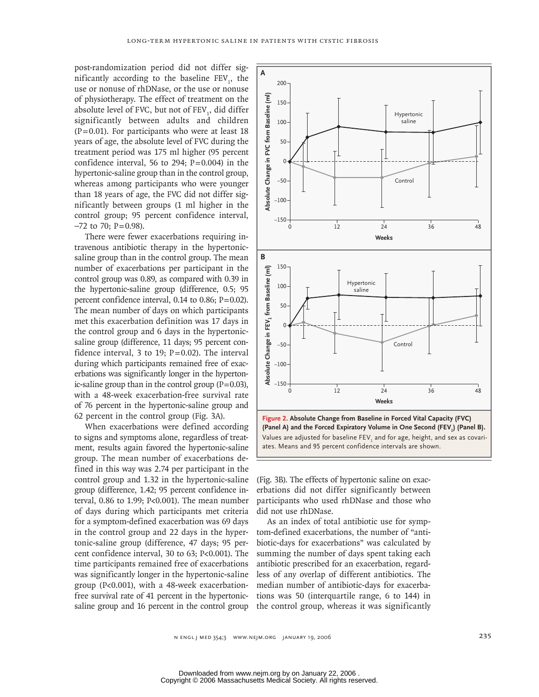post-randomization period did not differ significantly according to the baseline  $FEV_1$ , the use or nonuse of rhDNase, or the use or nonuse of physiotherapy. The effect of treatment on the absolute level of FVC, but not of  $\text{FEV}_1$ , did differ significantly between adults and children  $(P=0.01)$ . For participants who were at least 18 years of age, the absolute level of FVC during the treatment period was 175 ml higher (95 percent confidence interval, 56 to 294;  $P = 0.004$ ) in the hypertonic-saline group than in the control group, whereas among participants who were younger than 18 years of age, the FVC did not differ significantly between groups (1 ml higher in the control group; 95 percent confidence interval,  $-72$  to 70; P=0.98).

There were fewer exacerbations requiring intravenous antibiotic therapy in the hypertonicsaline group than in the control group. The mean number of exacerbations per participant in the control group was 0.89, as compared with 0.39 in the hypertonic-saline group (difference, 0.5; 95 percent confidence interval,  $0.14$  to  $0.86$ ;  $P = 0.02$ ). The mean number of days on which participants met this exacerbation definition was 17 days in the control group and 6 days in the hypertonicsaline group (difference, 11 days; 95 percent confidence interval, 3 to 19;  $P = 0.02$ ). The interval during which participants remained free of exacerbations was significantly longer in the hypertonic-saline group than in the control group  $(P=0.03)$ , with a 48-week exacerbation-free survival rate of 76 percent in the hypertonic-saline group and 62 percent in the control group (Fig. 3A).

When exacerbations were defined according to signs and symptoms alone, regardless of treatment, results again favored the hypertonic-saline group. The mean number of exacerbations defined in this way was 2.74 per participant in the control group and 1.32 in the hypertonic-saline group (difference, 1.42; 95 percent confidence interval, 0.86 to 1.99; P<0.001). The mean number of days during which participants met criteria for a symptom-defined exacerbation was 69 days in the control group and 22 days in the hypertonic-saline group (difference, 47 days; 95 percent confidence interval, 30 to 63; P<0.001). The time participants remained free of exacerbations was significantly longer in the hypertonic-saline group (P<0.001), with a 48-week exacerbationfree survival rate of 41 percent in the hypertonicsaline group and 16 percent in the control group



(Panel A) and the Forced Expiratory Volume in One Second (FEV<sub>1</sub>) (Panel B). Values are adjusted for baseline FEV $_{\rm_1}$  and for age, height, and sex as covariates. Means and 95 percent confidence intervals are shown.

(Fig. 3B). The effects of hypertonic saline on exacerbations did not differ significantly between participants who used rhDNase and those who did not use rhDNase.

As an index of total antibiotic use for symptom-defined exacerbations, the number of "antibiotic-days for exacerbations" was calculated by summing the number of days spent taking each antibiotic prescribed for an exacerbation, regardless of any overlap of different antibiotics. The median number of antibiotic-days for exacerbations was 50 (interquartile range, 6 to 144) in the control group, whereas it was significantly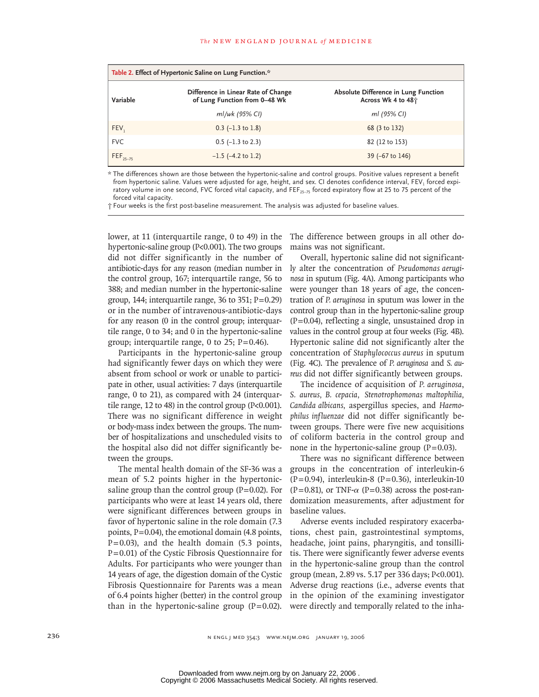| Table 2. Effect of Hypertonic Saline on Lung Function.* |                                                                      |                                                                        |  |
|---------------------------------------------------------|----------------------------------------------------------------------|------------------------------------------------------------------------|--|
| Variable                                                | Difference in Linear Rate of Change<br>of Lung Function from 0-48 Wk | Absolute Difference in Lung Function<br>Across Wk 4 to 48 <sup>+</sup> |  |
|                                                         | ml/wk (95% CI)                                                       | ml (95% CI)                                                            |  |
| FEV,                                                    | $0.3$ (-1.3 to 1.8)                                                  | 68 (3 to 132)                                                          |  |
| <b>FVC</b>                                              | $0.5$ (-1.3 to 2.3)                                                  | 82 (12 to 153)                                                         |  |
| $FEF_{25-75}$                                           | $-1.5$ ( $-4.2$ to 1.2)                                              | $39$ (-67 to 146)                                                      |  |

\* The differences shown are those between the hypertonic-saline and control groups. Positive values represent a benefit from hypertonic saline. Values were adjusted for age, height, and sex. CI denotes confidence interval, FEV, forced expiratory volume in one second, FVC forced vital capacity, and FEF $_{25-75}$  forced expiratory flow at 25 to 75 percent of the forced vital capacity.

† Four weeks is the first post-baseline measurement. The analysis was adjusted for baseline values.

lower, at 11 (interquartile range, 0 to 49) in the hypertonic-saline group (P<0.001). The two groups did not differ significantly in the number of antibiotic-days for any reason (median number in the control group, 167; interquartile range, 56 to 388; and median number in the hypertonic-saline group, 144; interquartile range, 36 to 351;  $P=0.29$ ) or in the number of intravenous-antibiotic-days for any reason (0 in the control group; interquartile range, 0 to 34; and 0 in the hypertonic-saline group; interquartile range, 0 to 25;  $P = 0.46$ ).

Participants in the hypertonic-saline group had significantly fewer days on which they were absent from school or work or unable to participate in other, usual activities: 7 days (interquartile range, 0 to 21), as compared with 24 (interquartile range, 12 to 48) in the control group (P<0.001). There was no significant difference in weight or body-mass index between the groups. The number of hospitalizations and unscheduled visits to the hospital also did not differ significantly between the groups.

The mental health domain of the SF-36 was a mean of 5.2 points higher in the hypertonicsaline group than the control group  $(P=0.02)$ . For participants who were at least 14 years old, there were significant differences between groups in favor of hypertonic saline in the role domain (7.3 points,  $P = 0.04$ ), the emotional domain (4.8 points,  $P = 0.03$ ), and the health domain (5.3 points,  $P = 0.01$ ) of the Cystic Fibrosis Questionnaire for Adults. For participants who were younger than 14 years of age, the digestion domain of the Cystic Fibrosis Questionnaire for Parents was a mean of 6.4 points higher (better) in the control group than in the hypertonic-saline group  $(P=0.02)$ .

The difference between groups in all other domains was not significant.

Overall, hypertonic saline did not significantly alter the concentration of *Pseudomonas aeruginosa* in sputum (Fig. 4A). Among participants who were younger than 18 years of age, the concentration of *P. aeruginosa* in sputum was lower in the control group than in the hypertonic-saline group  $(P=0.04)$ , reflecting a single, unsustained drop in values in the control group at four weeks (Fig. 4B). Hypertonic saline did not significantly alter the concentration of *Staphylococcus aureus* in sputum (Fig. 4C). The prevalence of *P. aeruginosa* and *S. aureus* did not differ significantly between groups.

The incidence of acquisition of *P. aeruginosa*, *S. aureus, B. cepacia, Stenotrophomonas maltophilia, Candida albicans,* aspergillus species, and *Haemophilus influenzae* did not differ significantly between groups. There were five new acquisitions of coliform bacteria in the control group and none in the hypertonic-saline group  $(P=0.03)$ .

There was no significant difference between groups in the concentration of interleukin-6  $(P=0.94)$ , interleukin-8  $(P=0.36)$ , interleukin-10 (P = 0.81), or TNF- $\alpha$  (P = 0.38) across the post-randomization measurements, after adjustment for baseline values.

Adverse events included respiratory exacerbations, chest pain, gastrointestinal symptoms, headache, joint pains, pharyngitis, and tonsillitis. There were significantly fewer adverse events in the hypertonic-saline group than the control group (mean, 2.89 vs. 5.17 per 336 days; P<0.001). Adverse drug reactions (i.e., adverse events that in the opinion of the examining investigator were directly and temporally related to the inha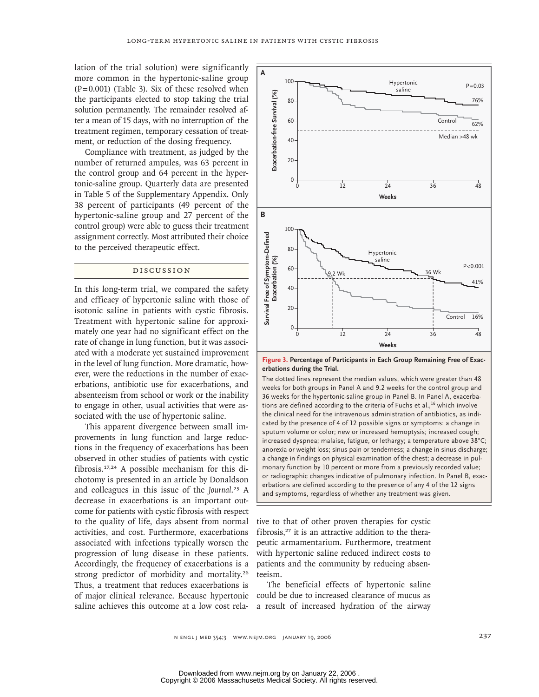lation of the trial solution) were significantly more common in the hypertonic-saline group  $(P=0.001)$  (Table 3). Six of these resolved when the participants elected to stop taking the trial solution permanently. The remainder resolved after a mean of 15 days, with no interruption of the treatment regimen, temporary cessation of treatment, or reduction of the dosing frequency.

Compliance with treatment, as judged by the number of returned ampules, was 63 percent in the control group and 64 percent in the hypertonic-saline group. Quarterly data are presented in Table 5 of the Supplementary Appendix. Only 38 percent of participants (49 percent of the hypertonic-saline group and 27 percent of the control group) were able to guess their treatment assignment correctly. Most attributed their choice to the perceived therapeutic effect.

# discussion

In this long-term trial, we compared the safety and efficacy of hypertonic saline with those of isotonic saline in patients with cystic fibrosis. Treatment with hypertonic saline for approximately one year had no significant effect on the rate of change in lung function, but it was associated with a moderate yet sustained improvement in the level of lung function. More dramatic, however, were the reductions in the number of exacerbations, antibiotic use for exacerbations, and absenteeism from school or work or the inability to engage in other, usual activities that were associated with the use of hypertonic saline.

This apparent divergence between small improvements in lung function and large reductions in the frequency of exacerbations has been observed in other studies of patients with cystic fibrosis.17,24 A possible mechanism for this dichotomy is presented in an article by Donaldson and colleagues in this issue of the *Journal*. <sup>25</sup> A decrease in exacerbations is an important outcome for patients with cystic fibrosis with respect to the quality of life, days absent from normal activities, and cost. Furthermore, exacerbations associated with infections typically worsen the progression of lung disease in these patients. Accordingly, the frequency of exacerbations is a strong predictor of morbidity and mortality.<sup>26</sup> Thus, a treatment that reduces exacerbations is of major clinical relevance. Because hypertonic saline achieves this outcome at a low cost rela-



**Figure 3. Percentage of Participants in Each Group Remaining Free of Exacerbations during the Trial.**

The dotted lines represent the median values, which were greater than 48 weeks for both groups in Panel A and 9.2 weeks for the control group and 36 weeks for the hypertonic-saline group in Panel B. In Panel A, exacerbations are defined according to the criteria of Fuchs et al.,<sup>16</sup> which involve the clinical need for the intravenous administration of antibiotics, as indicated by the presence of 4 of 12 possible signs or symptoms: a change in sputum volume or color; new or increased hemoptysis; increased cough; increased dyspnea; malaise, fatigue, or lethargy; a temperature above 38°C; anorexia or weight loss; sinus pain or tenderness; a change in sinus discharge; a change in findings on physical examination of the chest; a decrease in pulmonary function by 10 percent or more from a previously recorded value; or radiographic changes indicative of pulmonary infection. In Panel B, exacerbations are defined according to the presence of any 4 of the 12 signs and symptoms, regardless of whether any treatment was given.

tive to that of other proven therapies for cystic fibrosis, $27$  it is an attractive addition to the therapeutic armamentarium. Furthermore, treatment with hypertonic saline reduced indirect costs to patients and the community by reducing absenteeism.

The beneficial effects of hypertonic saline could be due to increased clearance of mucus as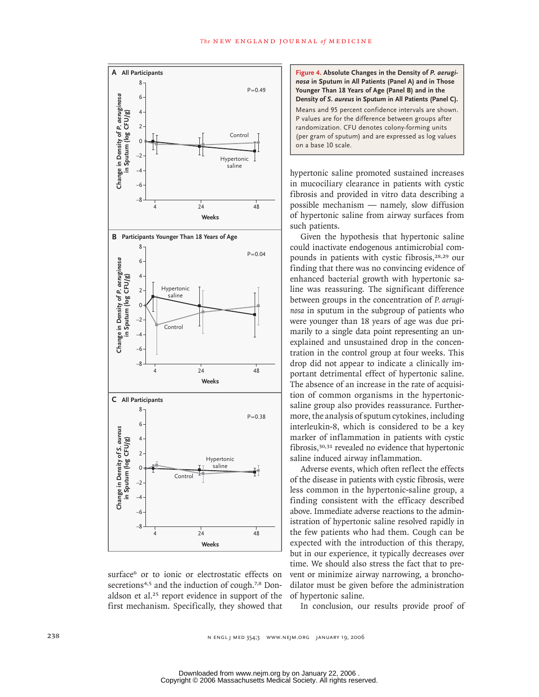

surface<sup>6</sup> or to ionic or electrostatic effects on secretions<sup>4,5</sup> and the induction of cough.<sup>7,8</sup> Donaldson et al.<sup>25</sup> report evidence in support of the first mechanism. Specifically, they showed that

**Figure 4. Absolute Changes in the Density of** *P. aeruginosa* **in Sputum in All Patients (Panel A) and in Those Younger Than 18 Years of Age (Panel B) and in the Density of** *S. aureus* **in Sputum in All Patients (Panel C).** Means and 95 percent confidence intervals are shown. P values are for the difference between groups after randomization. CFU denotes colony-forming units (per gram of sputum) and are expressed as log values on a base 10 scale.

hypertonic saline promoted sustained increases in mucociliary clearance in patients with cystic fibrosis and provided in vitro data describing a possible mechanism — namely, slow diffusion of hypertonic saline from airway surfaces from such patients.

Given the hypothesis that hypertonic saline could inactivate endogenous antimicrobial compounds in patients with cystic fibrosis,28,29 our finding that there was no convincing evidence of enhanced bacterial growth with hypertonic saline was reassuring. The significant difference between groups in the concentration of *P. aeruginosa* in sputum in the subgroup of patients who were younger than 18 years of age was due primarily to a single data point representing an unexplained and unsustained drop in the concentration in the control group at four weeks. This drop did not appear to indicate a clinically important detrimental effect of hypertonic saline. The absence of an increase in the rate of acquisition of common organisms in the hypertonicsaline group also provides reassurance. Furthermore, the analysis of sputum cytokines, including interleukin-8, which is considered to be a key marker of inflammation in patients with cystic fibrosis,30,31 revealed no evidence that hypertonic saline induced airway inflammation.

Adverse events, which often reflect the effects of the disease in patients with cystic fibrosis, were less common in the hypertonic-saline group, a finding consistent with the efficacy described above. Immediate adverse reactions to the administration of hypertonic saline resolved rapidly in the few patients who had them. Cough can be expected with the introduction of this therapy, but in our experience, it typically decreases over time. We should also stress the fact that to prevent or minimize airway narrowing, a bronchodilator must be given before the administration of hypertonic saline.

In conclusion, our results provide proof of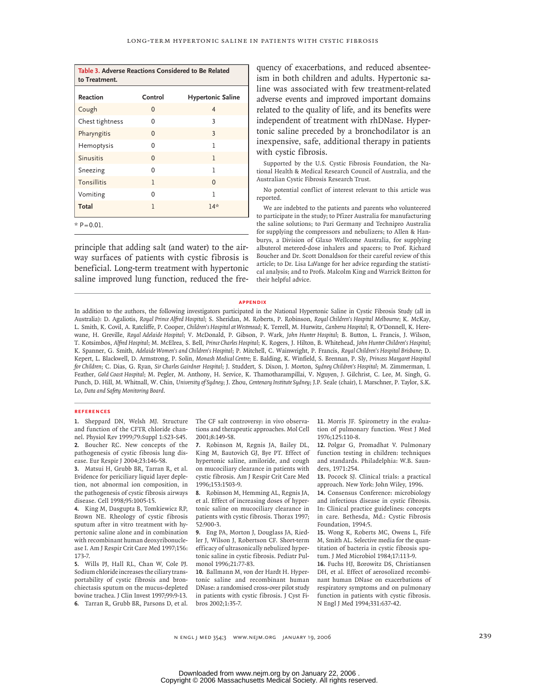| Table 3. Adverse Reactions Considered to Be Related<br>to Treatment. |              |                          |  |
|----------------------------------------------------------------------|--------------|--------------------------|--|
| Reaction                                                             | Control      | <b>Hypertonic Saline</b> |  |
| Cough                                                                | $\Omega$     | 4                        |  |
| Chest tightness                                                      | 0            | 3                        |  |
| Pharyngitis                                                          | $\Omega$     | 3                        |  |
| Hemoptysis                                                           | 0            | ı                        |  |
| <b>Sinusitis</b>                                                     | $\mathbf{0}$ | 1                        |  |
| Sneezing                                                             | 0            | 1                        |  |
| <b>Tonsillitis</b>                                                   | 1            | $\mathbf{0}$             |  |
| Vomiting                                                             | U            | ı                        |  |
| Total                                                                | $\mathbf{1}$ | $14*$                    |  |

principle that adding salt (and water) to the airway surfaces of patients with cystic fibrosis is beneficial. Long-term treatment with hypertonic saline improved lung function, reduced the frequency of exacerbations, and reduced absenteeism in both children and adults. Hypertonic saline was associated with few treatment-related adverse events and improved important domains related to the quality of life, and its benefits were independent of treatment with rhDNase. Hypertonic saline preceded by a bronchodilator is an inexpensive, safe, additional therapy in patients with cystic fibrosis.

Supported by the U.S. Cystic Fibrosis Foundation, the National Health & Medical Research Council of Australia, and the Australian Cystic Fibrosis Research Trust.

No potential conflict of interest relevant to this article was reported.

We are indebted to the patients and parents who volunteered to participate in the study; to Pfizer Australia for manufacturing the saline solutions; to Pari Germany and Technipro Australia for supplying the compressors and nebulizers; to Allen & Hanburys, a Division of Glaxo Wellcome Australia, for supplying albuterol metered-dose inhalers and spacers; to Prof. Richard Boucher and Dr. Scott Donaldson for their careful review of this article; to Dr. Lisa LaVange for her advice regarding the statistical analysis; and to Profs. Malcolm King and Warrick Britton for their helpful advice.

#### **appendix**

In addition to the authors, the following investigators participated in the National Hypertonic Saline in Cystic Fibrosis Study (all in Australia): D. Agaliotis, *Royal Prince Alfred Hospital*; S. Sheridan, M. Roberts, P. Robinson, *Royal Children's Hospital Melbourne*; K. McKay, L. Smith, K. Covil, A. Ratcliffe, P. Cooper, *Children's Hospital at Westmead*; K. Terrell, M. Hurwitz, *Canberra Hospital*; R. O'Donnell, K. Herewane, H. Greville, *Royal Adelaide Hospital*; V. McDonald, P. Gibson, P. Wark, *John Hunter Hospital*; B. Button, L. Francis, J. Wilson, T. Kotsimbos, *Alfred Hospital*; M. McElrea, S. Bell, *Prince Charles Hospital*; K. Rogers, J. Hilton, B. Whitehead, *John Hunter Children's Hospital*; K. Spanner, G. Smith, *Adelaide Women's and Children's Hospital*; P. Mitchell, C. Wainwright, P. Francis, *Royal Children's Hospital Brisbane*; D. Kepert, L. Blackwell, D. Armstrong, P. Solin, *Monash Medical Centre*; E. Balding, K. Winfield, S. Brennan, P. Sly, *Princess Margaret Hospital for Children*; C. Dias, G. Ryan, *Sir Charles Gairdner Hospital*; J. Studdert, S. Dixon, J. Morton, *Sydney Children's Hospital*; M. Zimmerman, I. Feather, *Gold Coast Hospital*; M. Pegler, M. Anthony, H. Service, K. Thamotharampillai, V. Nguyen, J. Gilchrist, C. Lee, M. Singh, G. Punch, D. Hill, M. Whitnall, W. Chin, *University of Sydney*; J. Zhou, *Centenary Institute Sydney*; J.P. Seale (chair), I. Marschner, P. Taylor, S.K. Lo, *Data and Safety Monitoring Board*.

#### **references**

1. Sheppard DN, Welsh MJ. Structure and function of the CFTR chloride channel. Physiol Rev 1999;79:Suppl 1:S23-S45. 2. Boucher RC. New concepts of the pathogenesis of cystic fibrosis lung disease. Eur Respir J 2004;23:146-58.

Matsui H, Grubb BR, Tarran R, et al. **3.** Evidence for periciliary liquid layer depletion, not abnormal ion composition, in the pathogenesis of cystic fibrosis airways disease. Cell 1998;95:1005-15.

4. King M, Dasgupta B, Tomkiewicz RP, Brown NE. Rheology of cystic fibrosis sputum after in vitro treatment with hypertonic saline alone and in combination with recombinant human deoxyribonuclease I. Am J Respir Crit Care Med 1997;156: 173-7.

Wills PJ, Hall RL, Chan W, Cole PJ. **5.** Sodium chloride increases the ciliary transportability of cystic fibrosis and bronchiectasis sputum on the mucus-depleted bovine trachea. J Clin Invest 1997;99:9-13. Tarran R, Grubb BR, Parsons D, et al. **6.** The CF salt controversy: in vivo observations and therapeutic approaches. Mol Cell 2001;8:149-58.

7. Robinson M, Regnis JA, Bailey DL, King M, Bautovich GJ, Bye PT. Effect of hypertonic saline, amiloride, and cough on mucociliary clearance in patients with cystic fibrosis. Am J Respir Crit Care Med 1996;153:1503-9.

8. Robinson M, Hemming AL, Regnis JA, et al. Effect of increasing doses of hypertonic saline on mucociliary clearance in patients with cystic fibrosis. Thorax 1997; 52:900-3.

Eng PA, Morton J, Douglass JA, Ried-**9.** ler J, Wilson J, Robertson CF. Short-term efficacy of ultrasonically nebulized hypertonic saline in cystic fibrosis. Pediatr Pulmonol 1996;21:77-83.

10. Ballmann M, von der Hardt H. Hypertonic saline and recombinant human DNase: a randomised cross-over pilot study in patients with cystic fibrosis. J Cyst Fibros 2002;1:35-7.

11. Morris JF. Spirometry in the evaluation of pulmonary function. West J Med 1976;125:110-8.

12. Polgar G, Promadhat V. Pulmonary function testing in children: techniques and standards. Philadelphia: W.B. Saunders, 1971:254.

13. Pocock SJ. Clinical trials: a practical approach. New York: John Wiley, 1996.

14. Consensus Conference: microbiology and infectious disease in cystic fibrosis. In: Clinical practice guidelines: concepts in care. Bethesda, Md.: Cystic Fibrosis Foundation, 1994:5.

15. Wong K, Roberts MC, Owens L, Fife M, Smith AL. Selective media for the quantitation of bacteria in cystic fibrosis sputum. J Med Microbiol 1984;17:113-9.

16. Fuchs HJ, Borowitz DS, Christiansen DH, et al. Effect of aerosolized recombinant human DNase on exacerbations of respiratory symptoms and on pulmonary function in patients with cystic fibrosis. N Engl J Med 1994;331:637-42.